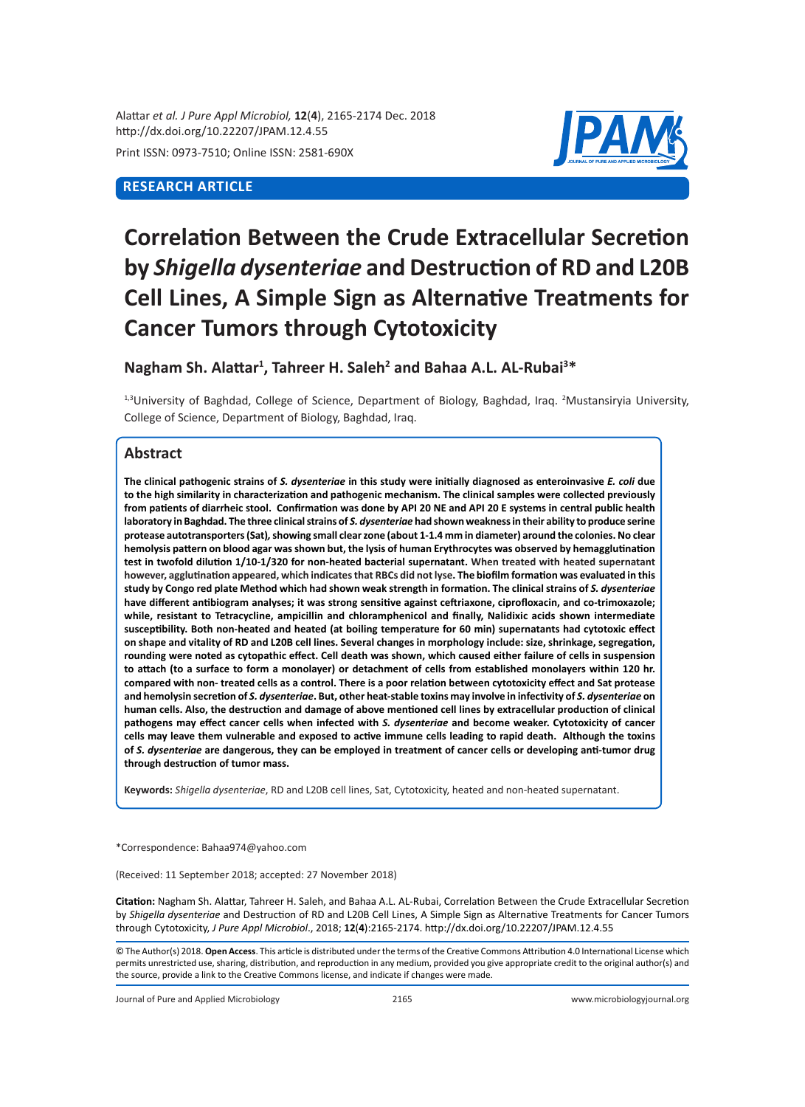Alattar *et al. J Pure Appl Microbiol,* **12**(**4**), 2165-2174 Dec. 2018 http://dx.doi.org/10.22207/JPAM.12.4.55

Print ISSN: 0973-7510; Online ISSN: 2581-690X

# **RESEARCH ARTICLE**



# **Correlation Between the Crude Extracellular Secretion by** *Shigella dysenteriae* **and Destruction of RD and L20B Cell Lines, A Simple Sign as Alternative Treatments for Cancer Tumors through Cytotoxicity**

## **Nagham Sh. Alattar<sup>1</sup> , Tahreer H. Saleh<sup>2</sup> and Bahaa A.L. AL-Rubai<sup>3</sup> \***

<sup>1,3</sup>University of Baghdad, College of Science, Department of Biology, Baghdad, Iraq. <sup>2</sup>Mustansiryia University, College of Science, Department of Biology, Baghdad, Iraq.

# **Abstract**

**The clinical pathogenic strains of** *S. dysenteriae* **in this study were initially diagnosed as enteroinvasive** *E. coli* **due to the high similarity in characterization and pathogenic mechanism. The clinical samples were collected previously from patients of diarrheic stool. Confirmation was done by API 20 NE and API 20 E systems in central public health**  laboratory in Baghdad. The three clinical strains of S. dysenteriae had shown weakness in their ability to produce serine **protease autotransporters (Sat)***,* **showing small clear zone (about 1-1.4 mm in diameter) around the colonies. No clear hemolysis pattern on blood agar was shown but, the lysis of human Erythrocytes was observed by hemagglutination test in twofold dilution 1/10-1/320 for non-heated bacterial supernatant. When treated with heated supernatant however, agglutination appeared, which indicates that RBCs did not lyse. The biofilm formation was evaluated in this**  study by Congo red plate Method which had shown weak strength in formation. The clinical strains of *S. dysenteriae* **have different antibiogram analyses; it was strong sensitive against ceftriaxone, ciprofloxacin, and co-trimoxazole; while, resistant to Tetracycline, ampicillin and chloramphenicol and finally, Nalidixic acids shown intermediate susceptibility. Both non-heated and heated (at boiling temperature for 60 min) supernatants had cytotoxic effect on shape and vitality of RD and L20B cell lines. Several changes in morphology include: size, shrinkage, segregation, rounding were noted as cytopathic effect. Cell death was shown, which caused either failure of cells in suspension to attach (to a surface to form a monolayer) or detachment of cells from established monolayers within 120 hr. compared with non- treated cells as a control. There is a poor relation between cytotoxicity effect and Sat protease and hemolysin secretion of** *S. dysenteriae***. But, other heat-stable toxins may involve in infectivity of** *S. dysenteriae* **on human cells. Also, the destruction and damage of above mentioned cell lines by extracellular production of clinical pathogens may effect cancer cells when infected with** *S. dysenteriae* **and become weaker. Cytotoxicity of cancer cells may leave them vulnerable and exposed to active immune cells leading to rapid death. Although the toxins of** *S. dysenteriae* **are dangerous, they can be employed in treatment of cancer cells or developing anti-tumor drug through destruction of tumor mass.**

**Keywords:** *Shigella dysenteriae*, RD and L20B cell lines, Sat, Cytotoxicity, heated and non-heated supernatant.

\*Correspondence: Bahaa974@yahoo.com

(Received: 11 September 2018; accepted: 27 November 2018)

**Citation:** Nagham Sh. Alattar, Tahreer H. Saleh, and Bahaa A.L. AL-Rubai, Correlation Between the Crude Extracellular Secretion by *Shigella dysenteriae* and Destruction of RD and L20B Cell Lines, A Simple Sign as Alternative Treatments for Cancer Tumors through Cytotoxicity, *J Pure Appl Microbiol*., 2018; **12**(**4**):2165-2174. http://dx.doi.org/10.22207/JPAM.12.4.55

© The Author(s) 2018. **Open Access**. This article is distributed under the terms of the Creative Commons Attribution 4.0 International License which permits unrestricted use, sharing, distribution, and reproduction in any medium, provided you give appropriate credit to the original author(s) and the source, provide a link to the Creative Commons license, and indicate if changes were made.

Journal of Pure and Applied Microbiology 2165 www.microbiologyjournal.org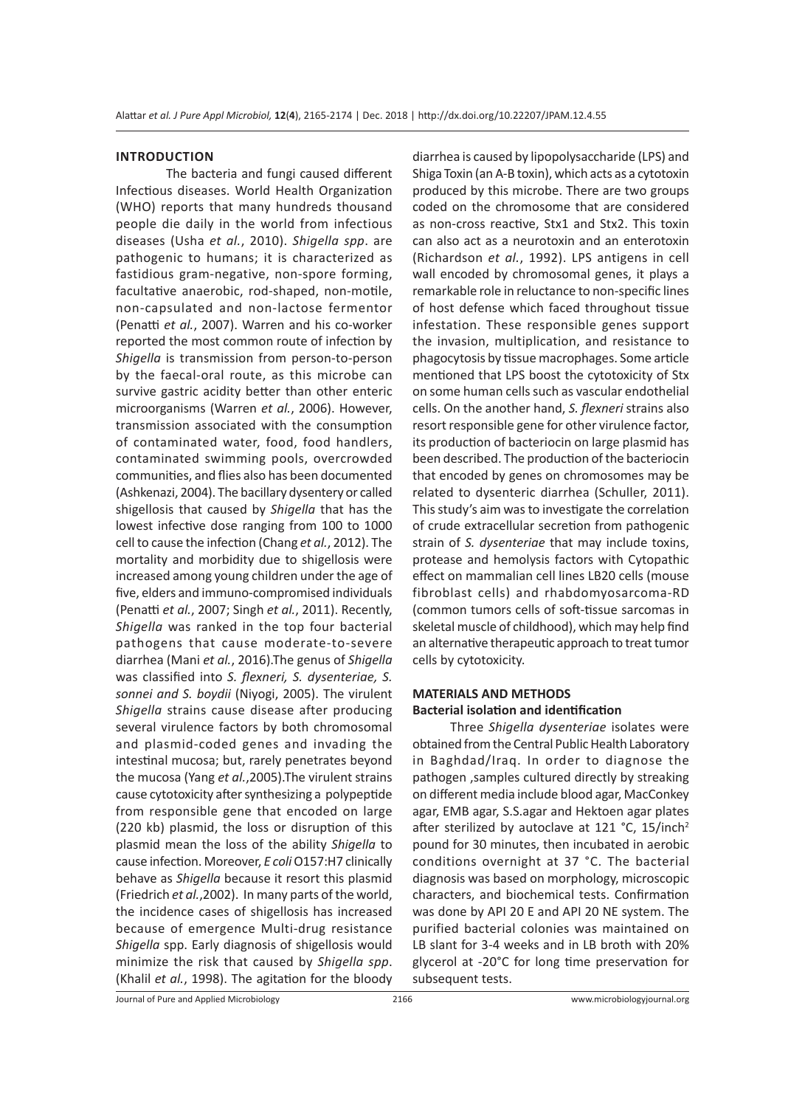#### **INTRODUCTION**

The bacteria and fungi caused different Infectious diseases. World Health Organization (WHO) reports that many hundreds thousand people die daily in the world from infectious diseases (Usha *et al.*, 2010). *Shigella spp*. are pathogenic to humans; it is characterized as fastidious gram-negative, non-spore forming, facultative anaerobic, rod-shaped, non-motile, non-capsulated and non-lactose fermentor (Penatti *et al.*, 2007). Warren and his co-worker reported the most common route of infection by *Shigella* is transmission from person-to-person by the faecal-oral route, as this microbe can survive gastric acidity better than other enteric microorganisms (Warren *et al.*, 2006). However, transmission associated with the consumption of contaminated water, food, food handlers, contaminated swimming pools, overcrowded communities, and flies also has been documented (Ashkenazi, 2004). The bacillary dysentery or called shigellosis that caused by *Shigella* that has the lowest infective dose ranging from 100 to 1000 cell to cause the infection (Chang *et al.*, 2012). The mortality and morbidity due to shigellosis were increased among young children under the age of five, elders and immuno-compromised individuals (Penatti *et al.*, 2007; Singh *et al.*, 2011). Recently, *Shigella* was ranked in the top four bacterial pathogens that cause moderate-to-severe diarrhea (Mani *et al.*, 2016).The genus of *Shigella* was classified into *S. flexneri, S. dysenteriae, S. sonnei and S. boydii* (Niyogi, 2005). The virulent *Shigella* strains cause disease after producing several virulence factors by both chromosomal and plasmid-coded genes and invading the intestinal mucosa; but, rarely penetrates beyond the mucosa (Yang *et al.*,2005).The virulent strains cause cytotoxicity after synthesizing a polypeptide from responsible gene that encoded on large (220 kb) plasmid, the loss or disruption of this plasmid mean the loss of the ability *Shigella* to cause infection. Moreover, *E coli* O157:H7 clinically behave as *Shigella* because it resort this plasmid (Friedrich *et al.*,2002). In many parts of the world, the incidence cases of shigellosis has increased because of emergence Multi-drug resistance *Shigella* spp. Early diagnosis of shigellosis would minimize the risk that caused by *Shigella spp*. (Khalil *et al.*, 1998). The agitation for the bloody diarrhea is caused by lipopolysaccharide (LPS) and Shiga Toxin (an A-B toxin), which acts as a cytotoxin produced by this microbe. There are two groups coded on the chromosome that are considered as non-cross reactive, Stx1 and Stx2. This toxin can also act as a neurotoxin and an enterotoxin (Richardson *et al.*, 1992). LPS antigens in cell wall encoded by chromosomal genes, it plays a remarkable role in reluctance to non-specific lines of host defense which faced throughout tissue infestation. These responsible genes support the invasion, multiplication, and resistance to phagocytosis by tissue macrophages. Some article mentioned that LPS boost the cytotoxicity of Stx on some human cells such as vascular endothelial cells. On the another hand, *S. flexneri* strains also resort responsible gene for other virulence factor, its production of bacteriocin on large plasmid has been described. The production of the bacteriocin that encoded by genes on chromosomes may be related to dysenteric diarrhea (Schuller, 2011). This study's aim was to investigate the correlation of crude extracellular secretion from pathogenic strain of *S. dysenteriae* that may include toxins, protease and hemolysis factors with Cytopathic effect on mammalian cell lines LB20 cells (mouse fibroblast cells) and rhabdomyosarcoma-RD (common tumors cells of soft-tissue sarcomas in skeletal muscle of childhood), which may help find an alternative therapeutic approach to treat tumor cells by cytotoxicity.

## **MATERIALS AND METHODS Bacterial isolation and identification**

Three *Shigella dysenteriae* isolates were obtained from the Central Public Health Laboratory in Baghdad/Iraq. In order to diagnose the pathogen ,samples cultured directly by streaking on different media include blood agar, MacConkey agar, EMB agar, S.S.agar and Hektoen agar plates after sterilized by autoclave at 121 °C, 15/inch<sup>2</sup> pound for 30 minutes, then incubated in aerobic conditions overnight at 37 °C. The bacterial diagnosis was based on morphology, microscopic characters, and biochemical tests. Confirmation was done by API 20 E and API 20 NE system. The purified bacterial colonies was maintained on LB slant for 3-4 weeks and in LB broth with 20% glycerol at -20°C for long time preservation for subsequent tests.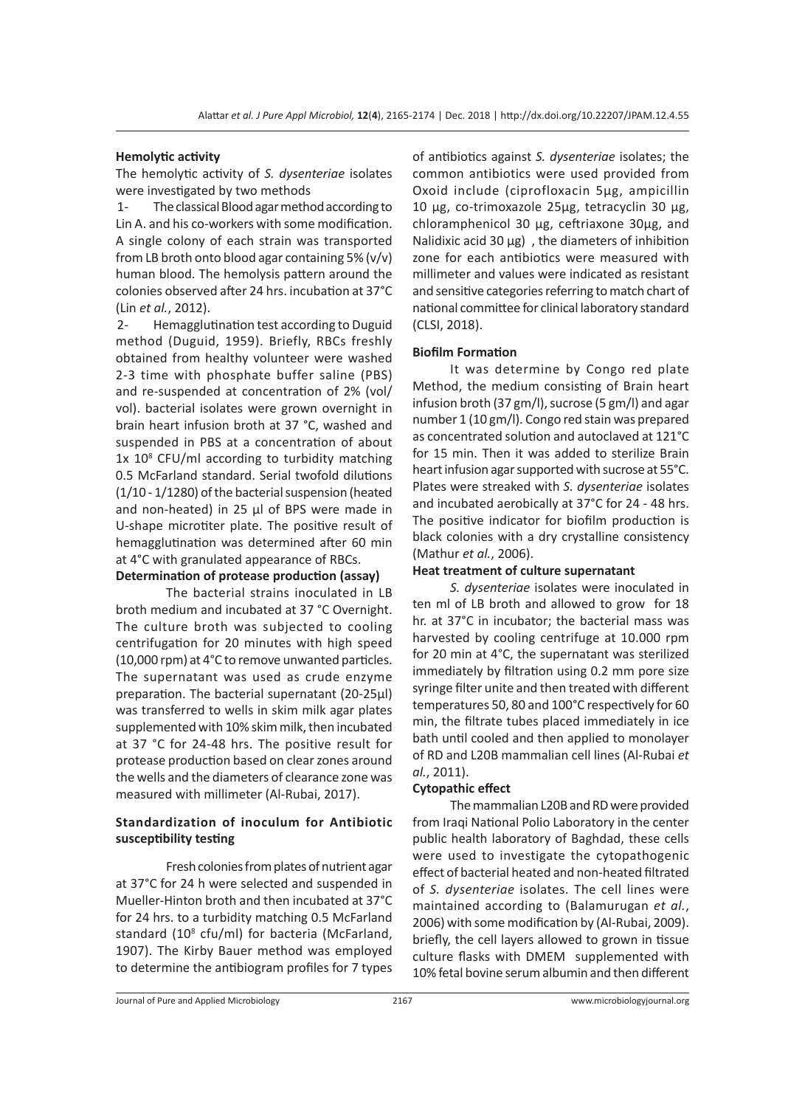## **Hemolytic activity**

The hemolytic activity of *S. dysenteriae* isolates were investigated by two methods

1- The classical Blood agar method according to Lin A. and his co-workers with some modification. A single colony of each strain was transported from LB broth onto blood agar containing 5%  $(v/v)$ human blood. The hemolysis pattern around the colonies observed after 24 hrs. incubation at 37°C (Lin *et al.*, 2012).

2- Hemagglutination test according to Duguid method (Duguid, 1959). Briefly, RBCs freshly obtained from healthy volunteer were washed 2-3 time with phosphate buffer saline (PBS) and re-suspended at concentration of 2% (vol/ vol). bacterial isolates were grown overnight in brain heart infusion broth at 37 °C, washed and suspended in PBS at a concentration of about 1x 10<sup>8</sup> CFU/ml according to turbidity matching 0.5 McFarland standard. Serial twofold dilutions (1/10 - 1/1280) of the bacterial suspension (heated and non-heated) in 25 µl of BPS were made in U-shape microtiter plate. The positive result of hemagglutination was determined after 60 min at 4°C with granulated appearance of RBCs.

## **Determination of protease production (assay)**

The bacterial strains inoculated in LB broth medium and incubated at 37 °C Overnight. The culture broth was subjected to cooling centrifugation for 20 minutes with high speed (10,000 rpm) at 4°C to remove unwanted particles. The supernatant was used as crude enzyme preparation. The bacterial supernatant (20-25µl) was transferred to wells in skim milk agar plates supplemented with 10% skim milk, then incubated at 37 °C for 24-48 hrs. The positive result for protease production based on clear zones around the wells and the diameters of clearance zone was measured with millimeter (Al-Rubai, 2017).

## **Standardization of inoculum for Antibiotic susceptibility testing**

Fresh colonies from plates of nutrient agar at 37°C for 24 h were selected and suspended in Mueller-Hinton broth and then incubated at 37°C for 24 hrs. to a turbidity matching 0.5 McFarland standard (10<sup>8</sup> cfu/ml) for bacteria (McFarland, 1907). The Kirby Bauer method was employed to determine the antibiogram profiles for 7 types

of antibiotics against *S. dysenteriae* isolates; the common antibiotics were used provided from Oxoid include (ciprofloxacin 5µg, ampicillin 10 µg, co-trimoxazole 25µg, tetracyclin 30 µg, chloramphenicol 30 µg, ceftriaxone 30µg, and Nalidixic acid 30  $\mu$ g), the diameters of inhibition zone for each antibiotics were measured with millimeter and values were indicated as resistant and sensitive categories referring to match chart of national committee for clinical laboratory standard (CLSI, 2018).

### **Biofilm Formation**

It was determine by Congo red plate Method, the medium consisting of Brain heart infusion broth (37 gm/l), sucrose (5 gm/l) and agar number 1 (10 gm/l). Congo red stain was prepared as concentrated solution and autoclaved at 121°C for 15 min. Then it was added to sterilize Brain heart infusion agar supported with sucrose at 55°C. Plates were streaked with *S. dysenteriae* isolates and incubated aerobically at 37°C for 24 - 48 hrs. The positive indicator for biofilm production is black colonies with a dry crystalline consistency (Mathur *et al.*, 2006).

#### **Heat treatment of culture supernatant**

*S. dysenteriae* isolates were inoculated in ten ml of LB broth and allowed to grow for 18 hr. at 37°C in incubator; the bacterial mass was harvested by cooling centrifuge at 10.000 rpm for 20 min at 4°C, the supernatant was sterilized immediately by filtration using 0.2 mm pore size syringe filter unite and then treated with different temperatures 50, 80 and 100°C respectively for 60 min, the filtrate tubes placed immediately in ice bath until cooled and then applied to monolayer of RD and L20B mammalian cell lines (Al-Rubai *et al.*, 2011).

#### **Cytopathic effect**

The mammalian L20B and RD were provided from Iraqi National Polio Laboratory in the center public health laboratory of Baghdad, these cells were used to investigate the cytopathogenic effect of bacterial heated and non-heated filtrated of *S. dysenteriae* isolates. The cell lines were maintained according to (Balamurugan *et al.*, 2006) with some modification by (Al-Rubai, 2009). briefly, the cell layers allowed to grown in tissue culture flasks with DMEM supplemented with 10% fetal bovine serum albumin and then different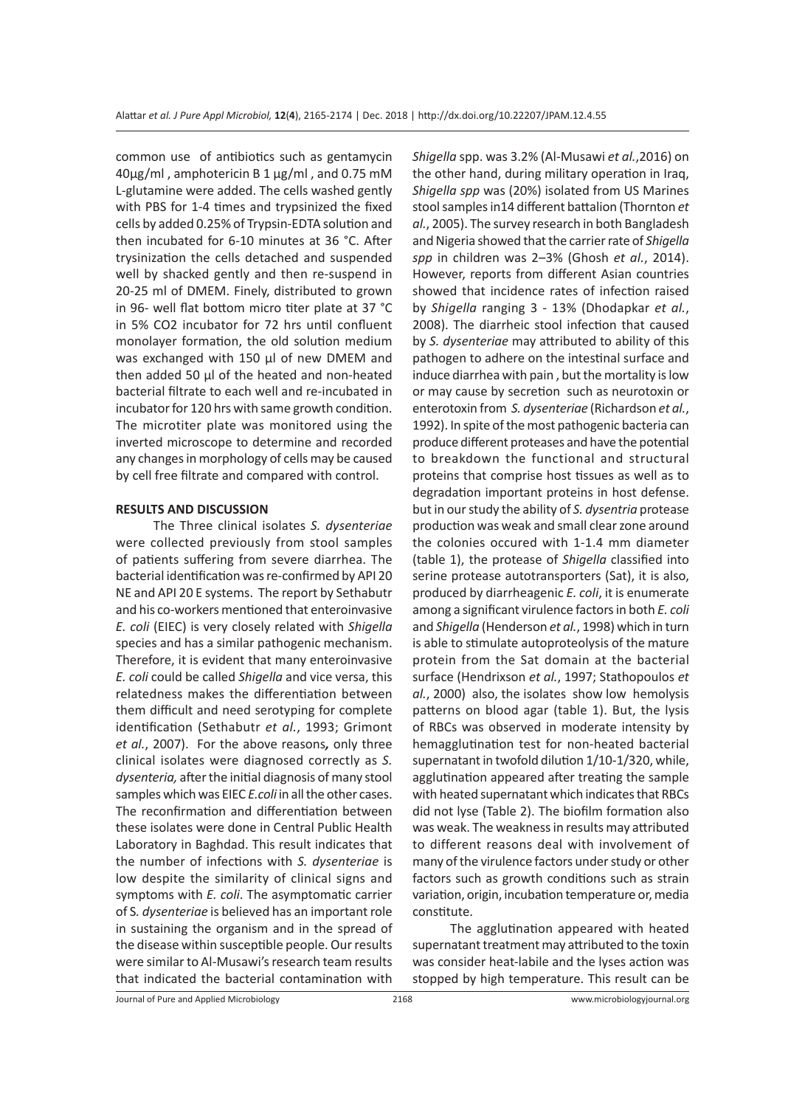common use of antibiotics such as gentamycin  $40\mu$ g/ml, amphotericin B 1  $\mu$ g/ml, and 0.75 mM L-glutamine were added. The cells washed gently with PBS for 1-4 times and trypsinized the fixed cells by added 0.25% of Trypsin-EDTA solution and then incubated for 6-10 minutes at 36 °C. After trysinization the cells detached and suspended well by shacked gently and then re-suspend in 20-25 ml of DMEM. Finely, distributed to grown in 96- well flat bottom micro titer plate at 37 °C in 5% CO2 incubator for 72 hrs until confluent monolayer formation, the old solution medium was exchanged with 150 µl of new DMEM and then added 50 µl of the heated and non-heated bacterial filtrate to each well and re-incubated in incubator for 120 hrs with same growth condition. The microtiter plate was monitored using the inverted microscope to determine and recorded any changes in morphology of cells may be caused by cell free filtrate and compared with control.

### **RESULTS AND DISCUSSION**

The Three clinical isolates *S. dysenteriae* were collected previously from stool samples of patients suffering from severe diarrhea. The bacterial identification was re-confirmed by API 20 NE and API 20 E systems. The report by Sethabutr and his co-workers mentioned that enteroinvasive *E. coli* (EIEC) is very closely related with *Shigella* species and has a similar pathogenic mechanism. Therefore, it is evident that many enteroinvasive *E. coli* could be called *Shigella* and vice versa, this relatedness makes the differentiation between them difficult and need serotyping for complete identification (Sethabutr *et al.*, 1993; Grimont *et al.*, 2007). For the above reasons*,* only three clinical isolates were diagnosed correctly as *S. dysenteria,* after the initial diagnosis of many stool samples which was EIEC *E.coli* in all the other cases. The reconfirmation and differentiation between these isolates were done in Central Public Health Laboratory in Baghdad. This result indicates that the number of infections with *S. dysenteriae* is low despite the similarity of clinical signs and symptoms with *E. coli*. The asymptomatic carrier of S*. dysenteriae* is believed has an important role in sustaining the organism and in the spread of the disease within susceptible people. Our results were similar to Al-Musawi's research team results that indicated the bacterial contamination with *Shigella* spp. was 3.2% (Al-Musawi *et al.*,2016) on the other hand, during military operation in Iraq, *Shigella spp* was (20%) isolated from US Marines stool samples in14 different battalion (Thornton *et al.*, 2005). The survey research in both Bangladesh and Nigeria showed that the carrier rate of *Shigella spp* in children was 2–3% (Ghosh *et al.*, 2014). However, reports from different Asian countries showed that incidence rates of infection raised by *Shigella* ranging 3 - 13% (Dhodapkar *et al.*, 2008). The diarrheic stool infection that caused by *S. dysenteriae* may attributed to ability of this pathogen to adhere on the intestinal surface and induce diarrhea with pain , but the mortality is low or may cause by secretion such as neurotoxin or enterotoxin from *S. dysenteriae* (Richardson *et al.*, 1992). In spite of the most pathogenic bacteria can produce different proteases and have the potential to breakdown the functional and structural proteins that comprise host tissues as well as to degradation important proteins in host defense. but in our study the ability of *S. dysentria* protease production was weak and small clear zone around the colonies occured with 1-1.4 mm diameter (table 1), the protease of *Shigella* classified into serine protease autotransporters (Sat), it is also, produced by diarrheagenic *E. coli*, it is enumerate among a significant virulence factors in both *E. coli* and *Shigella* (Henderson *et al.*, 1998) which in turn is able to stimulate autoproteolysis of the mature protein from the Sat domain at the bacterial surface (Hendrixson *et al.*, 1997; Stathopoulos *et al.*, 2000) also, the isolates show low hemolysis patterns on blood agar (table 1). But, the lysis of RBCs was observed in moderate intensity by hemagglutination test for non-heated bacterial supernatant in twofold dilution 1/10-1/320, while, agglutination appeared after treating the sample with heated supernatant which indicates that RBCs did not lyse (Table 2). The biofilm formation also was weak. The weakness in results may attributed to different reasons deal with involvement of many of the virulence factors under study or other factors such as growth conditions such as strain variation, origin, incubation temperature or, media constitute.

The agglutination appeared with heated supernatant treatment may attributed to the toxin was consider heat-labile and the lyses action was stopped by high temperature. This result can be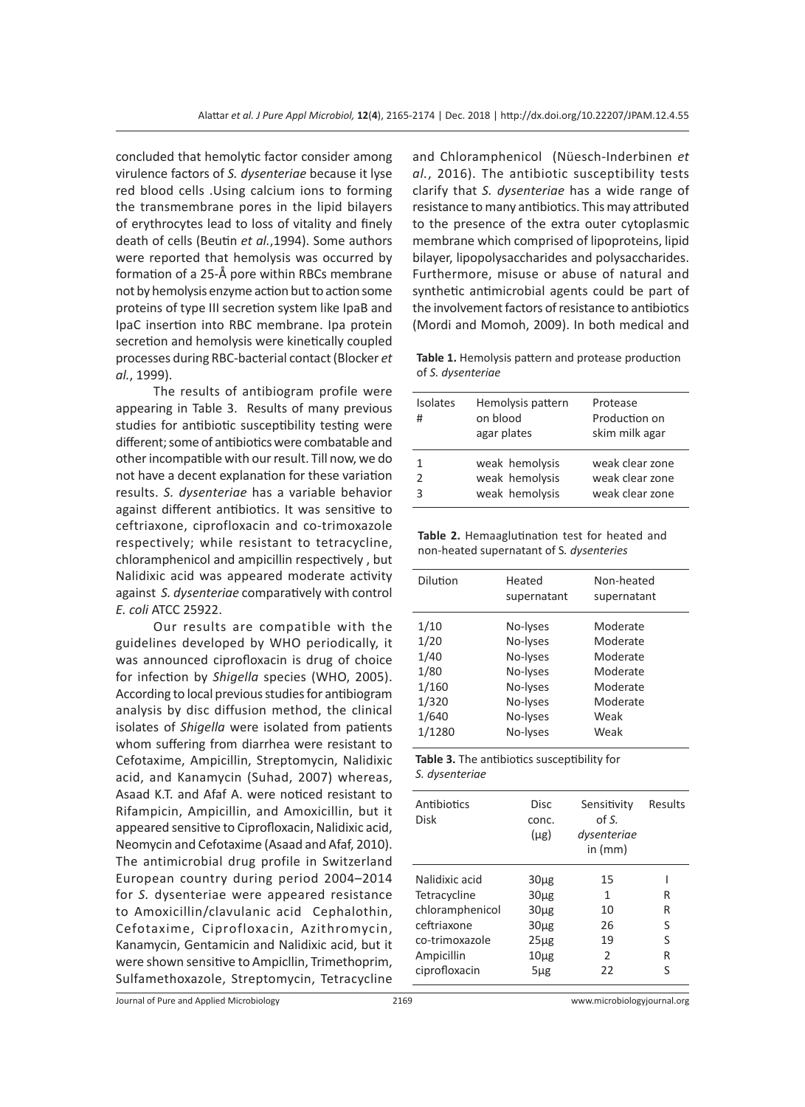concluded that hemolytic factor consider among virulence factors of *S. dysenteriae* because it lyse red blood cells .Using calcium ions to forming the transmembrane pores in the lipid bilayers of erythrocytes lead to loss of vitality and finely death of cells (Beutin *et al.*,1994). Some authors were reported that hemolysis was occurred by formation of a 25-Å pore within RBCs membrane not by hemolysis enzyme action but to action some proteins of type III secretion system like IpaB and IpaC insertion into RBC membrane. Ipa protein secretion and hemolysis were kinetically coupled processes during RBC-bacterial contact (Blocker *et al.*, 1999).

The results of antibiogram profile were appearing in Table 3. Results of many previous studies for antibiotic susceptibility testing were different; some of antibiotics were combatable and other incompatible with our result. Till now, we do not have a decent explanation for these variation results. *S. dysenteriae* has a variable behavior against different antibiotics. It was sensitive to ceftriaxone, ciprofloxacin and co-trimoxazole respectively; while resistant to tetracycline, chloramphenicol and ampicillin respectively , but Nalidixic acid was appeared moderate activity against *S. dysenteriae* comparatively with control *E. coli* ATCC 25922.

Our results are compatible with the guidelines developed by WHO periodically, it was announced ciprofloxacin is drug of choice for infection by *Shigella* species (WHO, 2005). According to local previous studies for antibiogram analysis by disc diffusion method, the clinical isolates of *Shigella* were isolated from patients whom suffering from diarrhea were resistant to Cefotaxime, Ampicillin, Streptomycin, Nalidixic acid, and Kanamycin (Suhad, 2007) whereas, Asaad K.T. and Afaf A. were noticed resistant to Rifampicin, Ampicillin, and Amoxicillin, but it appeared sensitive to Ciprofloxacin, Nalidixic acid, Neomycin and Cefotaxime (Asaad and Afaf, 2010). The antimicrobial drug profile in Switzerland European country during period 2004–2014 for *S.* dysenteriae were appeared resistance to Amoxicillin/clavulanic acid Cephalothin, Cefotaxime, Ciprofloxacin, Azithromycin, Kanamycin, Gentamicin and Nalidixic acid, but it were shown sensitive to Ampicllin, Trimethoprim, Sulfamethoxazole, Streptomycin, Tetracycline

and Chloramphenicol (Nüesch-Inderbinen *et al.*, 2016). The antibiotic susceptibility tests clarify that *S. dysenteriae* has a wide range of resistance to many antibiotics. This may attributed to the presence of the extra outer cytoplasmic membrane which comprised of lipoproteins, lipid bilayer, lipopolysaccharides and polysaccharides. Furthermore, misuse or abuse of natural and synthetic antimicrobial agents could be part of the involvement factors of resistance to antibiotics (Mordi and Momoh, 2009). In both medical and

**Table 1.** Hemolysis pattern and protease production of *S. dysenteriae*

| <b>Isolates</b><br># | Hemolysis pattern<br>on blood<br>agar plates | Protease<br>Production on<br>skim milk agar |
|----------------------|----------------------------------------------|---------------------------------------------|
| 1                    | weak hemolysis                               | weak clear zone                             |
| $\mathfrak z$        | weak hemolysis                               | weak clear zone                             |
| 3                    | weak hemolysis                               | weak clear zone                             |

**Table 2.** Hemaaglutination test for heated and non-heated supernatant of S*. dysenteries*

| <b>Dilution</b>                                                   | Heated<br>supernatant                                                                        | Non-heated<br>supernatant                                                            |
|-------------------------------------------------------------------|----------------------------------------------------------------------------------------------|--------------------------------------------------------------------------------------|
| 1/10<br>1/20<br>1/40<br>1/80<br>1/160<br>1/320<br>1/640<br>1/1280 | No-Iyses<br>No-lyses<br>No-Iyses<br>No-Iyses<br>No-lyses<br>No-Iyses<br>No-Iyses<br>No-Iyses | Moderate<br>Moderate<br>Moderate<br>Moderate<br>Moderate<br>Moderate<br>Weak<br>Weak |
|                                                                   |                                                                                              |                                                                                      |

|                | <b>Table 3.</b> The antibiotics susceptibility for |  |
|----------------|----------------------------------------------------|--|
| S. dysenteriae |                                                    |  |

| Antibiotics<br>Disk                                                                                               | <b>Disc</b><br>conc.<br>$(\mu$ g)                                                                         | Sensitivity<br>of S.<br>dysenteriae<br>in $(mm)$ | Results                    |
|-------------------------------------------------------------------------------------------------------------------|-----------------------------------------------------------------------------------------------------------|--------------------------------------------------|----------------------------|
| Nalidixic acid<br>Tetracycline<br>chloramphenicol<br>ceftriaxone<br>co-trimoxazole<br>Ampicillin<br>ciprofloxacin | 30 <sub>µg</sub><br>30 <sub>µg</sub><br>30 <sub>µg</sub><br>$30\mug$<br>$25\mu g$<br>$10\mug$<br>$5\mu$ g | 15<br>1<br>10<br>26<br>19<br>2<br>22             | R<br>R<br>S<br>S<br>R<br>S |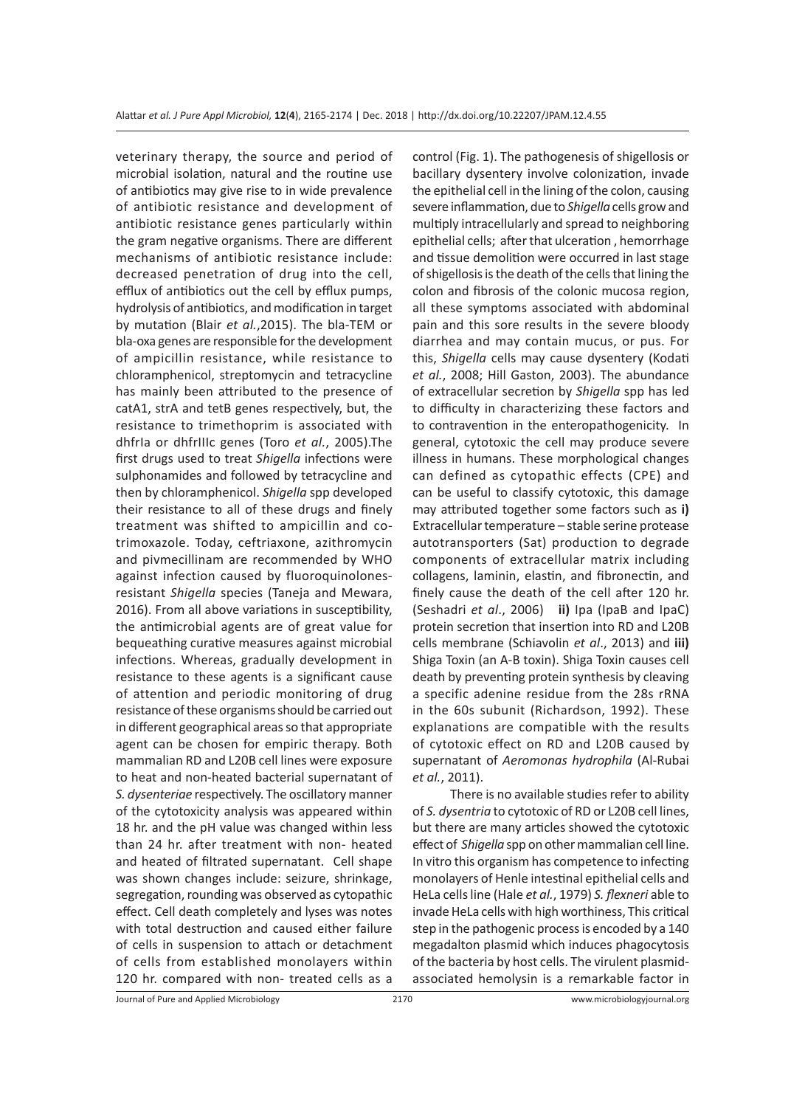veterinary therapy, the source and period of microbial isolation, natural and the routine use of antibiotics may give rise to in wide prevalence of antibiotic resistance and development of antibiotic resistance genes particularly within the gram negative organisms. There are different mechanisms of antibiotic resistance include: decreased penetration of drug into the cell, efflux of antibiotics out the cell by efflux pumps, hydrolysis of antibiotics, and modification in target by mutation (Blair *et al.*,2015). The bla-TEM or bla-oxa genes are responsible for the development of ampicillin resistance, while resistance to chloramphenicol, streptomycin and tetracycline has mainly been attributed to the presence of catA1, strA and tetB genes respectively, but, the resistance to trimethoprim is associated with dhfrIa or dhfrIIIc genes (Toro *et al.*, 2005).The first drugs used to treat *Shigella* infections were sulphonamides and followed by tetracycline and then by chloramphenicol. *Shigella* spp developed their resistance to all of these drugs and finely treatment was shifted to ampicillin and cotrimoxazole. Today, ceftriaxone, azithromycin and pivmecillinam are recommended by WHO against infection caused by fluoroquinolonesresistant *Shigella* species (Taneja and Mewara, 2016). From all above variations in susceptibility, the antimicrobial agents are of great value for bequeathing curative measures against microbial infections. Whereas, gradually development in resistance to these agents is a significant cause of attention and periodic monitoring of drug resistance of these organisms should be carried out in different geographical areas so that appropriate agent can be chosen for empiric therapy. Both mammalian RD and L20B cell lines were exposure to heat and non-heated bacterial supernatant of *S. dysenteriae* respectively. The oscillatory manner of the cytotoxicity analysis was appeared within 18 hr. and the pH value was changed within less than 24 hr. after treatment with non- heated and heated of filtrated supernatant. Cell shape was shown changes include: seizure, shrinkage, segregation, rounding was observed as cytopathic effect. Cell death completely and lyses was notes with total destruction and caused either failure of cells in suspension to attach or detachment of cells from established monolayers within 120 hr. compared with non- treated cells as a

control (Fig. 1). The pathogenesis of shigellosis or bacillary dysentery involve colonization, invade the epithelial cell in the lining of the colon, causing severe inflammation, due to *Shigella* cells grow and multiply intracellularly and spread to neighboring epithelial cells; after that ulceration , hemorrhage and tissue demolition were occurred in last stage of shigellosis is the death of the cells that lining the colon and fibrosis of the colonic mucosa region, all these symptoms associated with abdominal pain and this sore results in the severe bloody diarrhea and may contain mucus, or pus. For this, *Shigella* cells may cause dysentery (Kodati *et al.*, 2008; Hill Gaston, 2003). The abundance of extracellular secretion by *Shigella* spp has led to difficulty in characterizing these factors and to contravention in the enteropathogenicity. In general, cytotoxic the cell may produce severe illness in humans. These morphological changes can defined as cytopathic effects (CPE) and can be useful to classify cytotoxic, this damage may attributed together some factors such as **i)** Extracellular temperature – stable serine protease autotransporters (Sat) production to degrade components of extracellular matrix including collagens, laminin, elastin, and fibronectin, and finely cause the death of the cell after 120 hr. (Seshadri *et al*., 2006) **ii)** Ipa (IpaB and IpaC) protein secretion that insertion into RD and L20B cells membrane (Schiavolin *et al*., 2013) and **iii)** Shiga Toxin (an A-B toxin). Shiga Toxin causes cell death by preventing protein synthesis by cleaving a specific adenine residue from the 28s rRNA in the 60s subunit (Richardson, 1992). These explanations are compatible with the results of cytotoxic effect on RD and L20B caused by supernatant of *Aeromonas hydrophila* (Al-Rubai *et al.*, 2011).

There is no available studies refer to ability of *S. dysentria* to cytotoxic of RD or L20B cell lines, but there are many articles showed the cytotoxic effect of *Shigella* spp on other mammalian cell line. In vitro this organism has competence to infecting monolayers of Henle intestinal epithelial cells and HeLa cells line (Hale *et al.*, 1979) *S. flexneri* able to invade HeLa cells with high worthiness, This critical step in the pathogenic process is encoded by a 140 megadalton plasmid which induces phagocytosis of the bacteria by host cells. The virulent plasmidassociated hemolysin is a remarkable factor in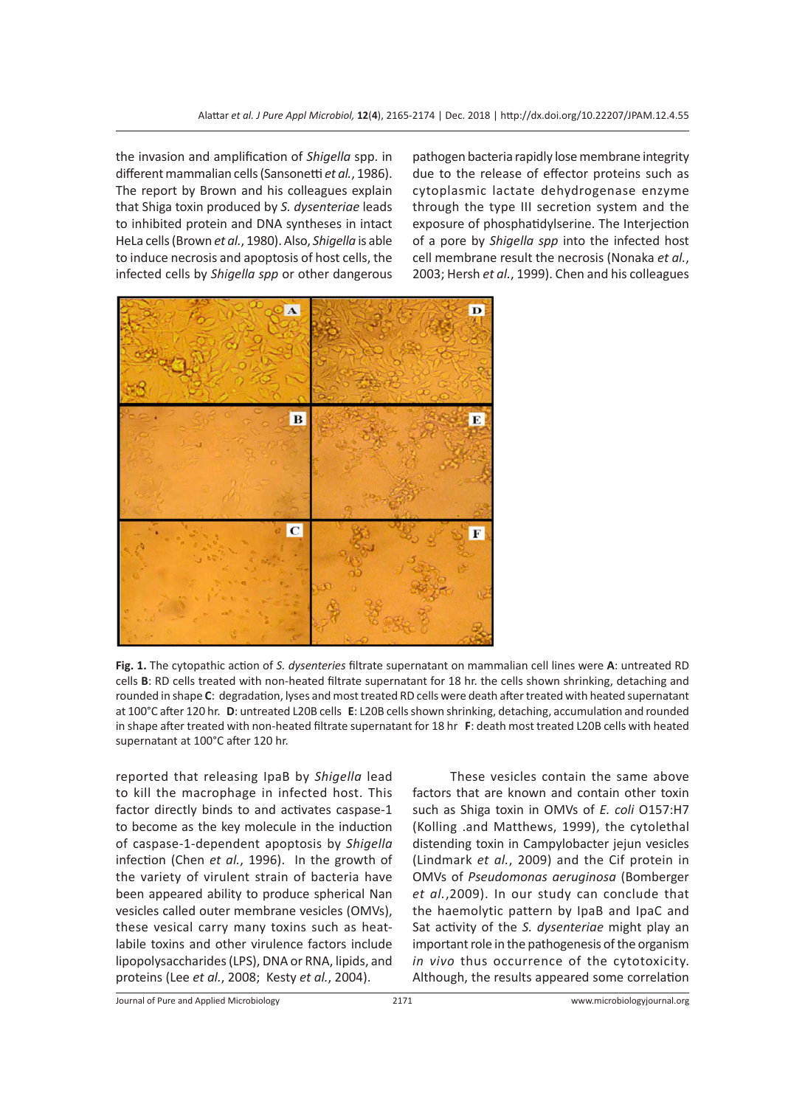the invasion and amplification of *Shigella* spp. in different mammalian cells (Sansonetti *et al.*, 1986). The report by Brown and his colleagues explain that Shiga toxin produced by *S. dysenteriae* leads to inhibited protein and DNA syntheses in intact HeLa cells (Brown *et al.*, 1980). Also, *Shigella* is able to induce necrosis and apoptosis of host cells, the infected cells by *Shigella spp* or other dangerous pathogen bacteria rapidly lose membrane integrity due to the release of effector proteins such as cytoplasmic lactate dehydrogenase enzyme through the type III secretion system and the exposure of phosphatidylserine. The Interjection of a pore by *Shigella spp* into the infected host cell membrane result the necrosis (Nonaka *et al.*, 2003; Hersh *et al.*, 1999). Chen and his colleagues



**Fig. 1.** The cytopathic action of *S. dysenteries* filtrate supernatant on mammalian cell lines were **A**: untreated RD cells **B**: RD cells treated with non-heated filtrate supernatant for 18 hr. the cells shown shrinking, detaching and rounded in shape **C**: degradation, lyses and most treated RD cells were death after treated with heated supernatant at 100°C after 120 hr. **D**: untreated L20B cells **E**: L20B cells shown shrinking, detaching, accumulation and rounded in shape after treated with non-heated filtrate supernatant for 18 hr **F**: death most treated L20B cells with heated supernatant at 100°C after 120 hr.

reported that releasing IpaB by *Shigella* lead to kill the macrophage in infected host. This factor directly binds to and activates caspase-1 to become as the key molecule in the induction of caspase-1-dependent apoptosis by *Shigella* infection (Chen *et al.*, 1996). In the growth of the variety of virulent strain of bacteria have been appeared ability to produce spherical Nan vesicles called outer membrane vesicles (OMVs), these vesical carry many toxins such as heatlabile toxins and other virulence factors include lipopolysaccharides (LPS), DNA or RNA, lipids, and proteins (Lee *et al.*, 2008; Kesty *et al.*, 2004).

These vesicles contain the same above factors that are known and contain other toxin such as Shiga toxin in OMVs of *E. coli* O157:H7 (Kolling .and Matthews, 1999), the cytolethal distending toxin in Campylobacter jejun vesicles (Lindmark *et al.*, 2009) and the Cif protein in OMVs of *Pseudomonas aeruginosa* (Bomberger *et al.*,2009). In our study can conclude that the haemolytic pattern by IpaB and IpaC and Sat activity of the *S. dysenteriae* might play an important role in the pathogenesis of the organism *in vivo* thus occurrence of the cytotoxicity. Although, the results appeared some correlation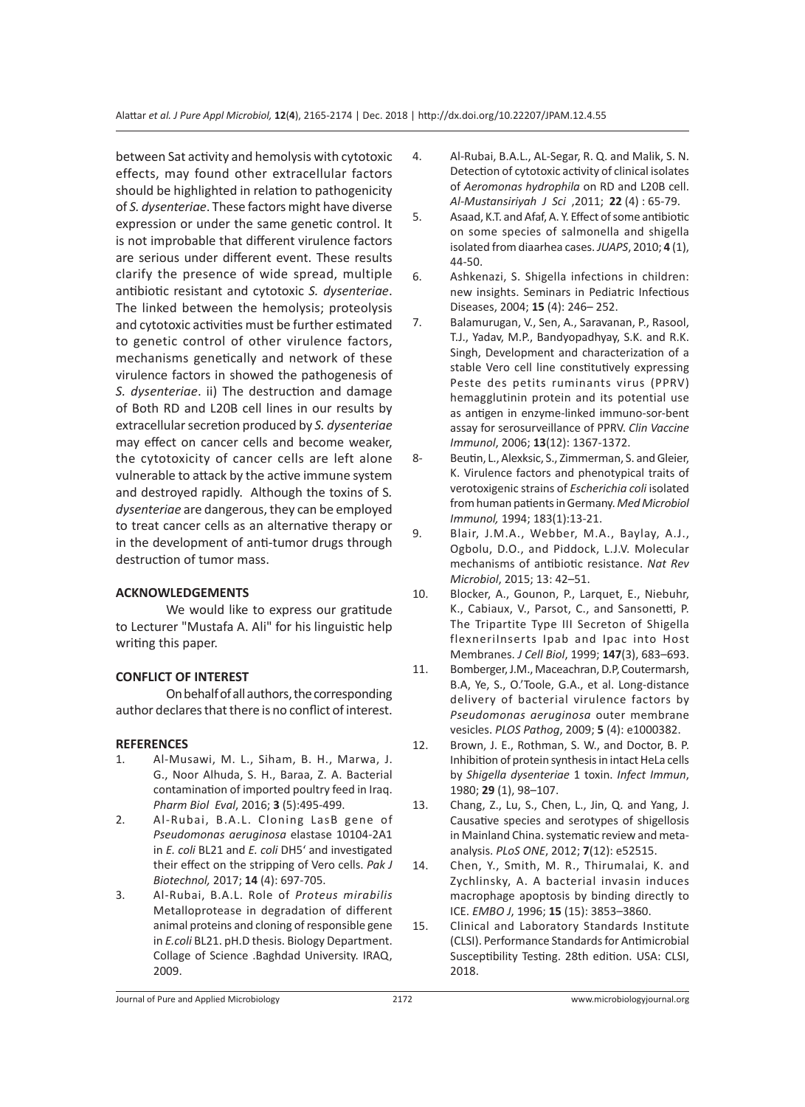between Sat activity and hemolysis with cytotoxic effects, may found other extracellular factors should be highlighted in relation to pathogenicity of *S. dysenteriae*. These factors might have diverse expression or under the same genetic control. It is not improbable that different virulence factors are serious under different event. These results clarify the presence of wide spread, multiple antibiotic resistant and cytotoxic *S. dysenteriae*. The linked between the hemolysis; proteolysis and cytotoxic activities must be further estimated to genetic control of other virulence factors, mechanisms genetically and network of these virulence factors in showed the pathogenesis of *S. dysenteriae*. ii) The destruction and damage of Both RD and L20B cell lines in our results by extracellular secretion produced by *S. dysenteriae*  may effect on cancer cells and become weaker, the cytotoxicity of cancer cells are left alone vulnerable to attack by the active immune system and destroyed rapidly. Although the toxins of S*. dysenteriae* are dangerous, they can be employed to treat cancer cells as an alternative therapy or in the development of anti-tumor drugs through destruction of tumor mass.

## **ACKNOWLEDGEMENTS**

We would like to express our gratitude to Lecturer "Mustafa A. Ali" for his linguistic help writing this paper.

## **CONFLICT OF INTEREST**

On behalf of all authors, the corresponding author declares that there is no conflict of interest.

## **REFERENCES**

- 1. Al-Musawi, M. L., Siham, B. H., Marwa, J. G., Noor Alhuda, S. H., Baraa, Z. A. Bacterial contamination of imported poultry feed in Iraq. *Pharm Biol Eval*, 2016; **3** (5):495-499.
- 2. Al-Rubai, B.A.L. Cloning LasB gene of *Pseudomonas aeruginosa* elastase 10104-2A1 in *E. coli* BL21 and *E. coli* DH5' and investigated their effect on the stripping of Vero cells. *Pak J Biotechnol,* 2017; **14** (4): 697-705.
- 3. Al-Rubai, B.A.L. Role of *Proteus mirabilis* Metalloprotease in degradation of different animal proteins and cloning of responsible gene in *E.coli* BL21. pH.D thesis. Biology Department. Collage of Science .Baghdad University. IRAQ, 2009.
- 4. Al-Rubai, B.A.L., AL-Segar, R. Q. and Malik, S. N. Detection of cytotoxic activity of clinical isolates of *Aeromonas hydrophila* on RD and L20B cell. *Al-Mustansiriyah J Sci* ,2011; **22** (4) : 65-79.
- 5. Asaad, K.T. and Afaf, A. Y. Effect of some antibiotic on some species of salmonella and shigella isolated from diaarhea cases. *JUAPS*, 2010; **4** (1), 44-50.
- 6. Ashkenazi, S. Shigella infections in children: new insights. Seminars in Pediatric Infectious Diseases, 2004; **15** (4): 246– 252.
- 7. Balamurugan, V., Sen, A., Saravanan, P., Rasool, T.J., Yadav, M.P., Bandyopadhyay, S.K. and R.K. Singh, Development and characterization of a stable Vero cell line constitutively expressing Peste des petits ruminants virus (PPRV) hemagglutinin protein and its potential use as antigen in enzyme-linked immuno-sor-bent assay for serosurveillance of PPRV. *Clin Vaccine Immunol*, 2006; **13**(12): 1367-1372.
- 8- Beutin, L., Alexksic, S., Zimmerman, S. and Gleier, K. Virulence factors and phenotypical traits of verotoxigenic strains of *Escherichia coli* isolated from human patients in Germany. *Med Microbiol Immunol,* 1994; 183(1):13-21.
- 9. Blair, J.M.A., Webber, M.A., Baylay, A.J., Ogbolu, D.O., and Piddock, L.J.V. Molecular mechanisms of antibiotic resistance. *Nat Rev Microbiol*, 2015; 13: 42–51.
- 10. Blocker, A., Gounon, P., Larquet, E., Niebuhr, K., Cabiaux, V., Parsot, C., and Sansonetti, P. The Tripartite Type III Secreton of Shigella flexneriInserts Ipab and Ipac into Host Membranes. *J Cell Biol*, 1999; **147**(3), 683–693.
- 11. Bomberger, J.M., Maceachran, D.P, Coutermarsh, B.A, Ye, S., O.'Toole, G.A., et al. Long-distance delivery of bacterial virulence factors by *Pseudomonas aeruginosa* outer membrane vesicles. *PLOS Pathog*, 2009; **5** (4): e1000382.
- 12. Brown, J. E., Rothman, S. W., and Doctor, B. P. Inhibition of protein synthesis in intact HeLa cells by *Shigella dysenteriae* 1 toxin. *Infect Immun*, 1980; **29** (1), 98–107.
- 13. Chang, Z., Lu, S., Chen, L., Jin, Q. and Yang, J. Causative species and serotypes of shigellosis in Mainland China. systematic review and metaanalysis. *PLoS ONE*, 2012; **7**(12): e52515.
- 14. Chen, Y., Smith, M. R., Thirumalai, K. and Zychlinsky, A. A bacterial invasin induces macrophage apoptosis by binding directly to ICE. *EMBO J*, 1996; **15** (15): 3853–3860.
- 15. Clinical and Laboratory Standards Institute (CLSI). Performance Standards for Antimicrobial Susceptibility Testing. 28th edition. USA: CLSI, 2018.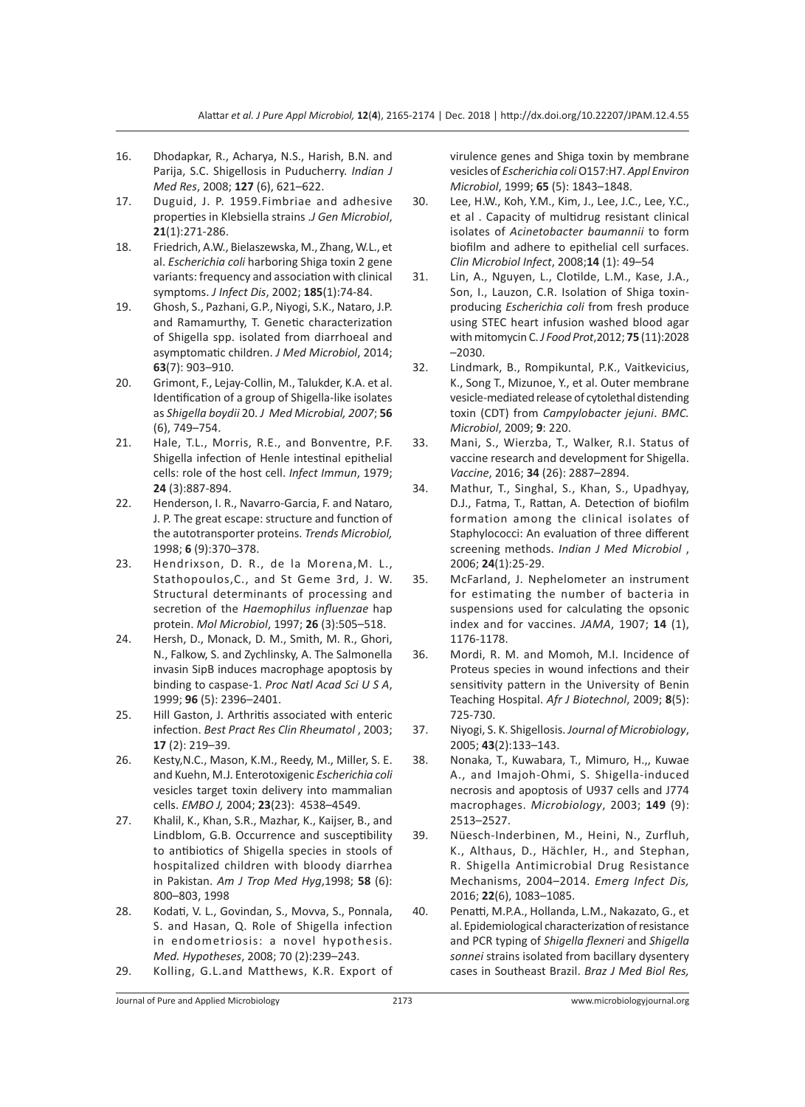- 16. Dhodapkar, R., Acharya, N.S., Harish, B.N. and Parija, S.C. Shigellosis in Puducherry. *Indian J Med Res*, 2008; **127** (6), 621–622.
- 17. Duguid, J. P. 1959.Fimbriae and adhesive properties in Klebsiella strains .*J Gen Microbiol*, **21**(1):271-286.
- 18. Friedrich, A.W., Bielaszewska, M., Zhang, W.L., et al. *Escherichia coli* harboring Shiga toxin 2 gene variants: frequency and association with clinical symptoms. *J Infect Dis*, 2002; **185**(1):74-84.
- 19. Ghosh, S., Pazhani, G.P., Niyogi, S.K., Nataro, J.P. and Ramamurthy, T. Genetic characterization of Shigella spp. isolated from diarrhoeal and asymptomatic children. *J Med Microbiol*, 2014; **63**(7): 903–910.
- 20. Grimont, F., Lejay-Collin, M., Talukder, K.A. et al. Identification of a group of Shigella-like isolates as *Shigella boydii* 20. *J Med Microbial, 2007*; **56** (6), 749–754.
- 21. Hale, T.L., Morris, R.E., and Bonventre, P.F. Shigella infection of Henle intestinal epithelial cells: role of the host cell. *Infect Immun*, 1979; **24** (3):887-894.
- 22. Henderson, I. R., Navarro-Garcia, F. and Nataro, J. P. The great escape: structure and function of the autotransporter proteins. *Trends Microbiol,* 1998; **6** (9):370–378.
- 23. Hendrixson, D. R., de la Morena,M. L., Stathopoulos,C., and St Geme 3rd, J. W. Structural determinants of processing and secretion of the *Haemophilus influenzae* hap protein. *Mol Microbiol*, 1997; **26** (3):505–518.
- 24. Hersh, D., Monack, D. M., Smith, M. R., Ghori, N., Falkow, S. and Zychlinsky, A. The Salmonella invasin SipB induces macrophage apoptosis by binding to caspase-1. *Proc Natl Acad Sci U S A*, 1999; **96** (5): 2396–2401.
- 25. Hill Gaston, J. Arthritis associated with enteric infection. *Best Pract Res Clin Rheumatol* , 2003; **17** (2): 219–39.
- 26. Kesty,N.C., Mason, K.M., Reedy, M., Miller, S. E. and Kuehn, M.J. Enterotoxigenic *Escherichia coli* vesicles target toxin delivery into mammalian cells. *EMBO J,* 2004; **23**(23): 4538–4549.
- 27. Khalil, K., Khan, S.R., Mazhar, K., Kaijser, B., and Lindblom, G.B. Occurrence and susceptibility to antibiotics of Shigella species in stools of hospitalized children with bloody diarrhea in Pakistan. *Am J Trop Med Hyg*,1998; **58** (6): 800–803, 1998
- 28. Kodati, V. L., Govindan, S., Movva, S., Ponnala, S. and Hasan, Q. Role of Shigella infection in endometriosis: a novel hypothesis. *Med. Hypotheses*, 2008; 70 (2):239–243.
- 29. Kolling, G.L.and Matthews, K.R. Export of

virulence genes and Shiga toxin by membrane vesicles of *Escherichia coli* O157:H7. *Appl Environ Microbiol*, 1999; **65** (5): 1843–1848.

- 30. Lee, H.W., Koh, Y.M., Kim, J., Lee, J.C., Lee, Y.C., et al . Capacity of multidrug resistant clinical isolates of *Acinetobacter baumannii* to form biofilm and adhere to epithelial cell surfaces. *Clin Microbiol Infect*, 2008;**14** (1): 49–54
- 31. Lin, A., Nguyen, L., Clotilde, L.M., Kase, J.A., Son, I., Lauzon, C.R. Isolation of Shiga toxinproducing *Escherichia coli* from fresh produce using STEC heart infusion washed blood agar with mitomycin C. *J Food Prot*,2012; **75** (11):2028 –2030.
- 32. Lindmark, B., Rompikuntal, P.K., Vaitkevicius, K., Song T., Mizunoe, Y., et al. Outer membrane vesicle-mediated release of cytolethal distending toxin (CDT) from *Campylobacter jejuni*. *BMC. Microbiol*, 2009; **9**: 220.
- 33. Mani, S., Wierzba, T., Walker, R.I. Status of vaccine research and development for Shigella. *Vaccine*, 2016; **34** (26): 2887–2894.
- 34. Mathur, T., Singhal, S., Khan, S., Upadhyay, D.J., Fatma, T., Rattan, A. Detection of biofilm formation among the clinical isolates of Staphylococci: An evaluation of three different screening methods. *Indian J Med Microbiol* , 2006; **24**(1):25-29.
- 35. McFarland, J. Nephelometer an instrument for estimating the number of bacteria in suspensions used for calculating the opsonic index and for vaccines. *JAMA*, 1907; **14** (1), 1176-1178.
- 36. Mordi, R. M. and Momoh, M.I. Incidence of Proteus species in wound infections and their sensitivity pattern in the University of Benin Teaching Hospital. *Afr J Biotechnol*, 2009; **8**(5): 725-730.
- 37. Niyogi, S. K. Shigellosis. *Journal of Microbiology*, 2005; **43**(2):133–143.
- 38. Nonaka, T., Kuwabara, T., Mimuro, H.,, Kuwae A., and Imajoh-Ohmi, S. Shigella-induced necrosis and apoptosis of U937 cells and J774 macrophages. *Microbiology*, 2003; **149** (9): 2513–2527.
- 39. Nüesch-Inderbinen, M., Heini, N., Zurfluh, K., Althaus, D., Hächler, H., and Stephan, R. Shigella Antimicrobial Drug Resistance Mechanisms, 2004–2014. *Emerg Infect Dis,* 2016; **22**(6), 1083–1085.
- 40. Penatti, M.P.A., Hollanda, L.M., Nakazato, G., et al. Epidemiological characterization of resistance and PCR typing of *Shigella flexneri* and *Shigella sonnei* strains isolated from bacillary dysentery cases in Southeast Brazil. *Braz J Med Biol Res,*